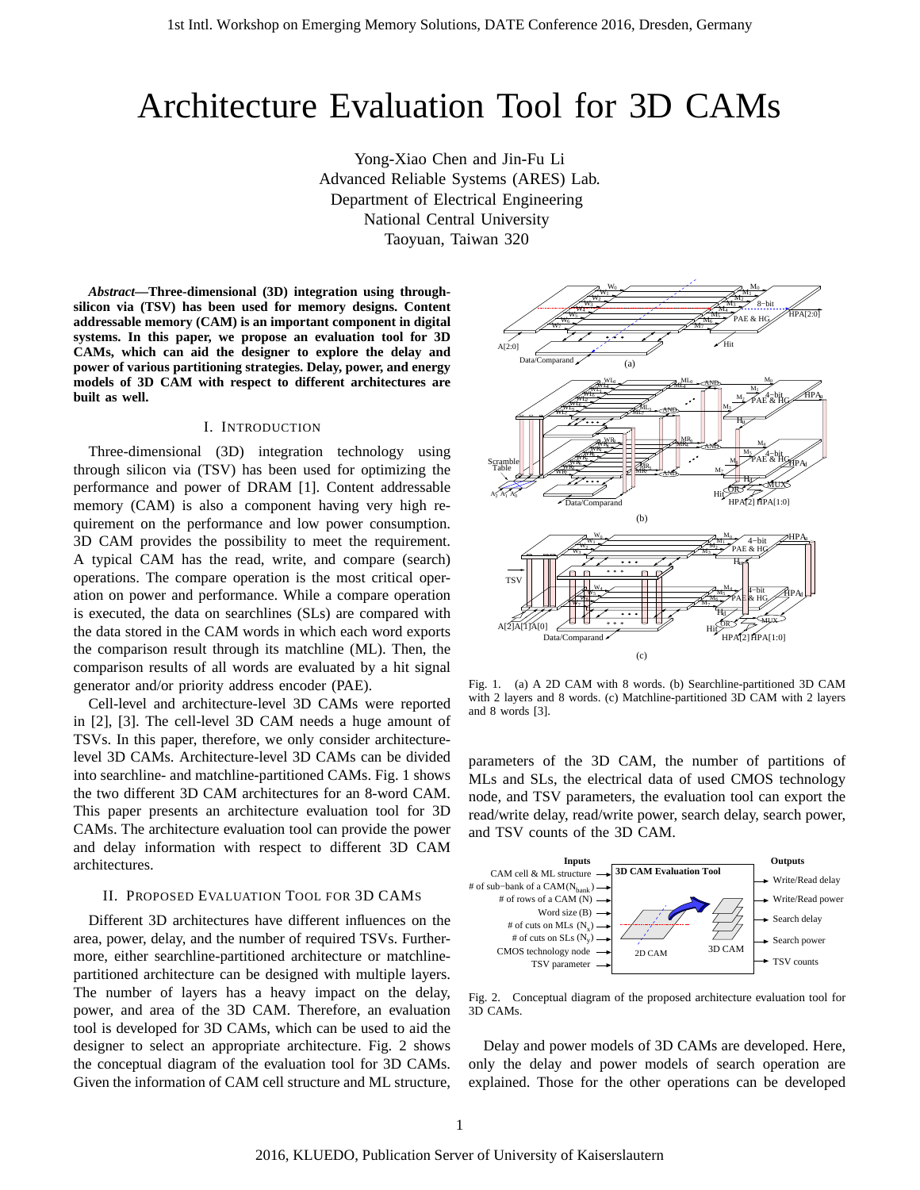# Architecture Evaluation Tool for 3D CAMs

Yong-Xiao Chen and Jin-Fu Li Advanced Reliable Systems (ARES) Lab. Department of Electrical Engineering National Central University Taoyuan, Taiwan 320

*Abstract***—Three-dimensional (3D) integration using throughsilicon via (TSV) has been used for memory designs. Content addressable memory (CAM) is an important component in digital systems. In this paper, we propose an evaluation tool for 3D CAMs, which can aid the designer to explore the delay and power of various partitioning strategies. Delay, power, and energy models of 3D CAM with respect to different architectures are built as well.**

## I. INTRODUCTION

Three-dimensional (3D) integration technology using through silicon via (TSV) has been used for optimizing the performance and power of DRAM [1]. Content addressable memory (CAM) is also a component having very high requirement on the performance and low power consumption. 3D CAM provides the possibility to meet the requirement. A typical CAM has the read, write, and compare (search) operations. The compare operation is the most critical operation on power and performance. While a compare operation is executed, the data on searchlines (SLs) are compared with the data stored in the CAM words in which each word exports the comparison result through its matchline (ML). Then, the comparison results of all words are evaluated by a hit signal generator and/or priority address encoder (PAE).

Cell-level and architecture-level 3D CAMs were reported in [2], [3]. The cell-level 3D CAM needs a huge amount of TSVs. In this paper, therefore, we only consider architecturelevel 3D CAMs. Architecture-level 3D CAMs can be divided into searchline- and matchline-partitioned CAMs. Fig. 1 shows the two different 3D CAM architectures for an 8-word CAM. This paper presents an architecture evaluation tool for 3D CAMs. The architecture evaluation tool can provide the power and delay information with respect to different 3D CAM architectures.

### II. PROPOSED EVALUATION TOOL FOR 3D CAMS

Different 3D architectures have different influences on the area, power, delay, and the number of required TSVs. Furthermore, either searchline-partitioned architecture or matchlinepartitioned architecture can be designed with multiple layers. The number of layers has a heavy impact on the delay, power, and area of the 3D CAM. Therefore, an evaluation tool is developed for 3D CAMs, which can be used to aid the designer to select an appropriate architecture. Fig. 2 shows the conceptual diagram of the evaluation tool for 3D CAMs. Given the information of CAM cell structure and ML structure,



Fig. 1. (a) A 2D CAM with 8 words. (b) Searchline-partitioned 3D CAM with 2 layers and 8 words. (c) Matchline-partitioned 3D CAM with 2 layers and 8 words [3].

parameters of the 3D CAM, the number of partitions of MLs and SLs, the electrical data of used CMOS technology node, and TSV parameters, the evaluation tool can export the read/write delay, read/write power, search delay, search power, and TSV counts of the 3D CAM.



Fig. 2. Conceptual diagram of the proposed architecture evaluation tool for 3D CAMs.

Delay and power models of 3D CAMs are developed. Here, only the delay and power models of search operation are explained. Those for the other operations can be developed